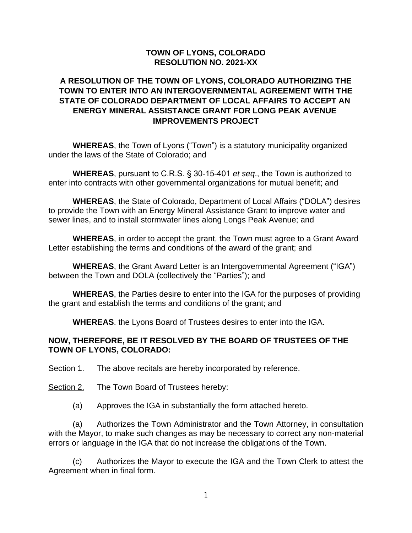## **TOWN OF LYONS, COLORADO RESOLUTION NO. 2021-XX**

## **A RESOLUTION OF THE TOWN OF LYONS, COLORADO AUTHORIZING THE TOWN TO ENTER INTO AN INTERGOVERNMENTAL AGREEMENT WITH THE STATE OF COLORADO DEPARTMENT OF LOCAL AFFAIRS TO ACCEPT AN ENERGY MINERAL ASSISTANCE GRANT FOR LONG PEAK AVENUE IMPROVEMENTS PROJECT**

**WHEREAS**, the Town of Lyons ("Town") is a statutory municipality organized under the laws of the State of Colorado; and

**WHEREAS**, pursuant to C.R.S. § 30-15-401 *et seq*., the Town is authorized to enter into contracts with other governmental organizations for mutual benefit; and

**WHEREAS**, the State of Colorado, Department of Local Affairs ("DOLA") desires to provide the Town with an Energy Mineral Assistance Grant to improve water and sewer lines, and to install stormwater lines along Longs Peak Avenue; and

**WHEREAS**, in order to accept the grant, the Town must agree to a Grant Award Letter establishing the terms and conditions of the award of the grant; and

**WHEREAS**, the Grant Award Letter is an Intergovernmental Agreement ("IGA") between the Town and DOLA (collectively the "Parties"); and

**WHEREAS**, the Parties desire to enter into the IGA for the purposes of providing the grant and establish the terms and conditions of the grant; and

**WHEREAS**. the Lyons Board of Trustees desires to enter into the IGA.

## **NOW, THEREFORE, BE IT RESOLVED BY THE BOARD OF TRUSTEES OF THE TOWN OF LYONS, COLORADO:**

Section 1. The above recitals are hereby incorporated by reference.

Section 2. The Town Board of Trustees hereby:

(a) Approves the IGA in substantially the form attached hereto.

(a) Authorizes the Town Administrator and the Town Attorney, in consultation with the Mayor, to make such changes as may be necessary to correct any non-material errors or language in the IGA that do not increase the obligations of the Town.

(c) Authorizes the Mayor to execute the IGA and the Town Clerk to attest the Agreement when in final form.